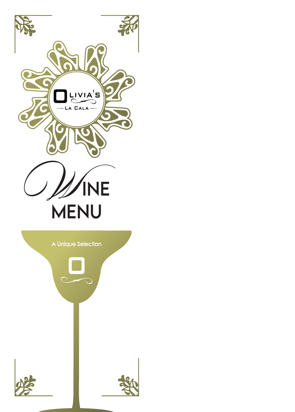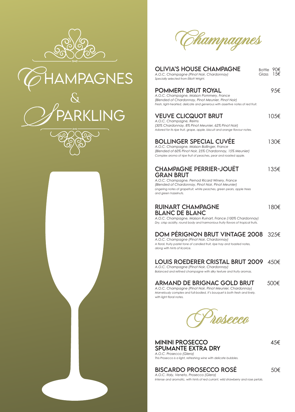







| <b>OLIVIA'S HOUSE CHAMPAGNE</b><br>A.O.C. Champagne (Pinot Noir, Chardonnay)<br>Specially selected from Elliott Wright.                                                                                                                                      | 90€<br>Bottle<br>1.5€<br>Glass |
|--------------------------------------------------------------------------------------------------------------------------------------------------------------------------------------------------------------------------------------------------------------|--------------------------------|
| <b>POMMERY BRUT ROYAL</b><br>A.O.C. Champagne, Maison Pommery, France<br>(Blended of Chardonnay, Pinot Meunier, Pinot Noir)<br>Fresh, light-hearted, delicate and generous with assertive notes of red fruit.                                                | 95€                            |
| <b>VEUVE CLICQUOT BRUT</b><br>A.O.C. Champagne, Reims<br>(30% Chardonnay, 8% Pinot Meunier, 62% Pinot Noir)<br>Adored for its ripe fruit, grape, apple, biscuit and orange flavour notes.                                                                    | 105€                           |
| <b>BOLLINGER SPECIAL CUVÉE</b><br>A.O.C. Champagne, Maison Bollinger, France<br>(Blended of 60% Pinot Noir, 25% Chardonnay, 15% Meunier)<br>Complex aroma of ripe fruit of peaches, pear and roasted apple.                                                  | 130€                           |
| <b>CHAMPAGNE PERRIER-JOUËT</b><br><b>GRAN BRUT</b><br>A.O.C. Champagne, Pernod Ricard Winery, France<br>(Blended of Chardonnay, Pinot Noir, Pinot Meunier)<br>Lingering notes of grapefruit, white peaches, green pears, apple trees<br>and green hazelnuts. | 135€                           |
| <b>RUINART CHAMPAGNE</b><br><b>BLANC DE BLANC</b><br>A.O.C. Champagne, Maison Ruinart, France (100% Chardonnay)<br>Dry, crisp acidity, round body and harmonious fruity flavors of tropical fruits.                                                          | 180€                           |
| DOM PÉRIGNON BRUT VINTAGE 2008 325€<br>A.O.C. Champagne (Pinot Noir, Chardonnay)<br>A floral, fruity pastel tone of candied fruit, ripe hay and toasted notes,<br>along with hints of licorice.                                                              |                                |
| LOUIS ROEDERER CRISTAL BRUT 2009 450€<br>A.O.C. Champagne (Pinot Noir, Chardonnay)<br>Balanced and refined champagne with silky texture and fruity aromas.                                                                                                   |                                |
| A DUANIN DE BRICNIAC COI D'BRIT                                                                                                                                                                                                                              | <b>ENNE</b>                    |

### ARMAND DE BRIGNAC GOLD BRUT500€

*A.O.C. Champagne (Pinot Noir, Pinot Meunier, Chardonnay) Marvelously complex and full-bodied, it's bouquet is both fresh and lively, with light floral notes.* 

**osecco**

### MININI PROSECCO45€ SPUMANTE EXTRA DRY

*A.O.C. Prosecco (Glera) This Prosecco is a light, refreshing wine with delicate bubbles.*

BISCARDO PROSECCO ROSÉ50€

*A.O.C. Italy, Veneto, Prosecco (Glera) Intense and aromatic, with hints of red currant, wild strawberry and rose petals.*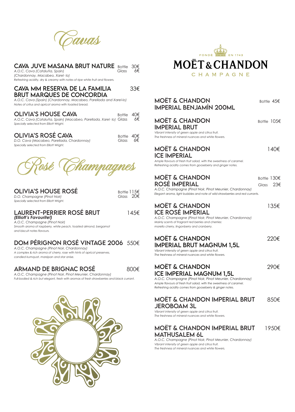

### **CAVA JUVE MASANA BRUT NATURE** Bottle 30€<br>A.O.C. Cava (Cataluña, Spain)

| A.O.C. Cava (Cataluña, Spain)                                                | Glass | 6€ |
|------------------------------------------------------------------------------|-------|----|
| (Chardonnay, Macabeo, Xarel·lo)                                              |       |    |
| Refreshing acidity, dry & creamy with notes of ripe white fruit and flowers. |       |    |

#### CAVA MM RESERVA DE LA FAMILIA 33€ BRUT MARQUES DE CONCORDIA

*A.O.C. Cava (Spain) (Chardonnay, Macabeo, Parellada and Xarel-lo) Notes of critus and apricot aroma with toasted bread.*

| <b>OLIVIA'S HOUSE CAVA</b>                                         | Bottle $40 \in$ |    |
|--------------------------------------------------------------------|-----------------|----|
| A.O.C. Cava (Cataluña, Spain) (Macabeo, Parellada, Xarel·lo) Glass |                 | 6€ |
| Specially selected from Elliott Wright.                            |                 |    |

### **OLIVIA'S ROSÉ CAVA** <sup>Bottle</sup> 40€<br>
D.O. Cava (Macabeo, Parellada, Chardonnay) Glass 6€

**D.O. Cava (Macabeo, Parellada, Chardonnay)** *Specially selected from Elliott Wright.*

**Rosé Champagnes**

| <b>OLIVIA'S HOUSE ROSÉ</b>              | Bottle 115 $\epsilon$ |
|-----------------------------------------|-----------------------|
| D.O. Champagne (Pinot Noir)             | Glass $206$           |
| Specially selected from Elliott Wright. |                       |

#### LAURENT-PERRIER ROSÉ BRUT 145€ *(Elliott's Favourite!)*

*A.O.C. Champagne (Pinot Noir) Smooth aroma of raspberry, white peach, toasted almond, bergamot and biscuit notes flavours.*

### DOM PÉRIGNON ROSÉ VINTAGE 2006 550€

*A.O.C. Champagne (Pinot Noir, Chardonnay) A complex & rich aroma of cherry, rose with hints of apricot preserves, candied kumquat, marzipan and star anise.* 

ARMAND DE BRIGNAC ROSÉ800€

*A.O.C. Champagne (Pinot Noir, Pinot Meunier, Chardonnay) Full-bodied & rich but elegant, fresh with aromas of fresh strawberries and black currant.*





| <b>MOËT &amp; CHANDON</b><br><b>IMPERIAL BENJAMÍN 200ML</b>                                                                                                                                                                                                 | Bottle 45€                  |
|-------------------------------------------------------------------------------------------------------------------------------------------------------------------------------------------------------------------------------------------------------------|-----------------------------|
| <b>MOËT &amp; CHANDON</b><br><b>IMPERIAL BRUT</b><br>Vibrant intensity of green apple and citrus fruit.<br>The freshness of mineral nuances and white flowers.                                                                                              | Bottle 105€                 |
| <b>MOËT &amp; CHANDON</b><br><b>ICE IMPERIAL</b><br>Ample flavours of fresh fruit salad, with the sweetness of caramel.<br>Refreshing acidity comes from gooseberry and ginger notes.                                                                       | 140€                        |
| <b>MOET &amp; CHANDON</b><br>ROSÉ IMPERIAL<br>A.O.C. Champagne (Pinot Noir, Pinot Meunier, Chardonnay)<br>Elegant aroma, light bubbles and note of wild strawberries and red currants.                                                                      | Bottle 130€<br>23€<br>Glass |
| <b>MOËT &amp; CHANDON</b><br><b>ICE ROSÉ IMPERIAL</b><br>A.O.C. Champagne (Pinot Noir, Pinot Meunier, Chardonnay)<br>Mainly scents of fragrant red berries and cherries:<br>morello cherry, lingonberry and cranberry.                                      | 135€                        |
| <b>MOËT &amp; CHANDON</b><br><b>IMPERIAL BRUT MAGNUM 1,5L</b><br>Vibrant intensity of green apple and citrus fruit.<br>The freshness of mineral nuances and white flowers.                                                                                  | 220€                        |
| <b>MOET &amp; CHANDON</b><br><b>ICE IMPERIAL MAGNUM 1,5L</b><br>A.O.C. Champagne (Pinot Noir, Pinot Meunier, Chardonnay)<br>Ample flavours of fresh fruit salad, with the sweetness of caramel.<br>Refreshing acidity comes from gooseberry & ginger notes. | 290€                        |
| <b>MOET &amp; CHANDON IMPERIAL BRUT</b><br><b>JEROBOAM 3L</b><br>Vibrant intensity of green apple and citrus fruit.<br>The freshness of mineral nuances and white flowers.                                                                                  | 850€                        |
| MOËT & CHANDON IMPERIAL BRUT<br><b>MATHUSALEM 6L</b><br>A.O.C. Champagne (Pinot Noir, Pinot Meunier, Chardonnay)<br>Vibrant intensity of green apple and citrus fruit.                                                                                      | 1950€                       |

*Vibrant intensity of green apple and citrus fruit. The freshness of mineral nuances and white flowers.*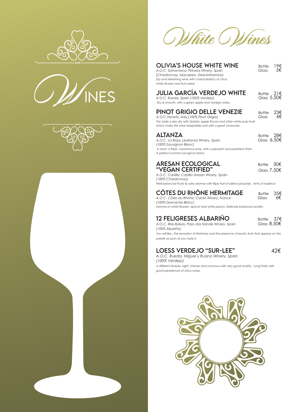







White Wines

| <b>OLIVIA'S HOUSE WHITE WINE</b><br>A.O.C. Somontano, Pirineos Winery, Spain<br>(Chardonnay, Macabeo, Gewürztramine)<br>Dry and refreshing wine with characteristics of citrus,<br>white flowers and fruit salad.          | <b>Bottle</b><br>Glass                   | 19€<br>5€ |
|----------------------------------------------------------------------------------------------------------------------------------------------------------------------------------------------------------------------------|------------------------------------------|-----------|
| <b>JULIA GARCÍA VERDEJO WHITE</b><br>A.O.C. Rueda, Spain (100% Verdejo)<br>Dry & smooth, with a green apple and Verdejo notes.                                                                                             | Bottle $21 \in$<br>Glass $5.50 \epsilon$ |           |
| <b>PINOT GRIGIO DELLE VENEZIE</b><br>A.O.C. Veneto, Italy (100% Pinot Grigio)<br>The taste is also dry with Golden apple flavors and other white pulp fruits<br>which make this wine adaptable and with a great character. | <b>Bottle</b><br>Glass                   | 23€<br>6€ |
| ALTANZA<br>A.O.C. La Rioja, Lealtanza Winery, Spain<br>(100% Sauvignon Blanc)<br>In short, a fresh, voluminous wine, with a pleasant and persistent finish.<br>A perfect summer sauvignon blanc.                           | Bottle $286$<br>Glass $6.50 \epsilon$    |           |
| <b>ARESAN ECOLOGICAL</b><br>"VEGAN CERTIFIED"<br>A.O.C. Castilla, Castillo Aresan Winery, Spain<br>(100% Chardonnay)<br>Well balanced Fruity & oaky aromas with Ripe fruit of yellow peaches, hints of hazelnut.           | <b>Bottle</b><br>Glass 7.50€             | -30€      |
| <b>CÔTES DU RHÔNE HERMITAGE</b><br>A.O.C. Côtes du Rhône, Calvet Winery, France<br>(100% Grenache Blanc)<br>Aromas of white flowers, apricot and white peach. Delicate balanced acidity.                                   | <b>Bottle</b><br>Glass                   | 35€<br>6€ |

### **12 FELIGRESES ALBARIÑO** Bottle 37€<br>A.O.C. Rías Baixas, Pazo dos Nande Winery, Spain Glass 8.50€

| A.O.C. Rías Baixas, Pazo dos Nande Winery, Spain |  |  | Glass 8.50€ |  |
|--------------------------------------------------|--|--|-------------|--|
| (100% Albariño)                                  |  |  |             |  |

*You will like...the sensation of freshness and the presence of exotic fruits that appear on the palate as soon as you taste it.*

### LOESS VERDEJO "SUR-LEE"42€

*A.O.C. Rueda, Miguel y Ruano Winery, Spain (100% Verdejo) A different Rueda. Light, intense and unctuous with very good acidity. Long finish with good persistence of citrus notes.*

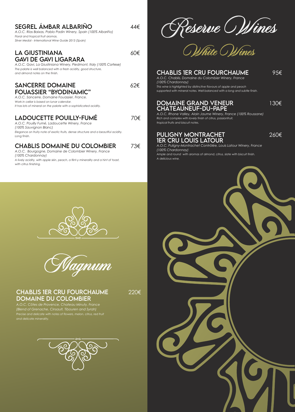| SEGREL ÁMBAR ALBARIÑO<br>A.O.C. Rías Baixas, Pablo Padin Winery, Spain (100% Albariño)<br>Floral and tropical fruit aromas.<br>Silver Medal - International Wine Guide 2013 (Spain)                                                 | 44€ |                 |
|-------------------------------------------------------------------------------------------------------------------------------------------------------------------------------------------------------------------------------------|-----|-----------------|
| <b>LA GIUSTINIANA</b><br><b>GAVI DE GAVI LIGARARA</b><br>A.O.C. Gavi, La Giustiniana Winery, Piedmont, Italy (100% Cortese)<br>The palate is well balanced with a fresh acidity, good structure,<br>and almond notes on the finish. | ሪህ€ |                 |
| <b>SANCERRE DOMAINE</b><br><b>FOUASSIER "BYODINAMIC"</b><br>A.O.C. Sancerre, Domaine Fouassier, France.<br>Work in cellar is based on lunar calendar.<br>It has lots of mineral on the palate with a sophisticated acidity.         | 62€ | Th<br><b>SU</b> |
| LADOUCETTE POUILLY-FUMÉ<br>A.O.C. Pouilly Fumé, Ladoucette Winery, France<br>(100% Sauvignon Blanc)<br>Elegance on fruity note of exotic fruits, dense structure and a beautiful acidity.<br>Long finish.                           | 70€ | A<br>Ri<br>tro  |

### CHABLIS DOMAINE DU COLOMBIER 73€

*A.O.C. Bourgogne, Domaine de Colombier Winery, France (100% Chardonnay) A lively acidity, with apple skin, peach, a flint-y minerality and a hint of toast, with citrus finishing.*

Reserve Wines<br>White Wines

#### CHABLIS 1ER CRU FOURCHAUME95€

*A.O.C. Chablis, Domaine du Colombier Winery, France (100% Chardonnay) This wine is highlighted by distinctive flavours of apple and peach supported with mineral notes. Well balanced with a long and subtle finish.*

# DOMAINE GRAND VENEUR130€ CHÂTEAUNEUF-DU-PAPE*A.O.C. Rhone Valley, Alain Jaume Winery, France (100% Roussane)*

*Rich and complex with lovely finish of citrus, passionfruit, tropical fruits and biscuit notes.*

#### PULIGNY MONTRACHET260€ 1ER CRU LOUIS LATOUR

*A.O.C. Puligny-Montrachet Contrôlée, Louis Latour Winery, France (100% Chardonnay) Ample and round with aromas of almond, citrus, slate with biscuit finish. A delicious wine.*





CHABLIS 1ER CRU FOURCHAUME220€ DOMAINE DU COLOMBIER

*A.O.C. Côtes de Provence, Chateau Minuty, France (Blend of Grenache, Cinsault, Tibouren and Syrah) Precise and delicate with notes of flowers, melon, citrus, red fruit and delicate minerality.*



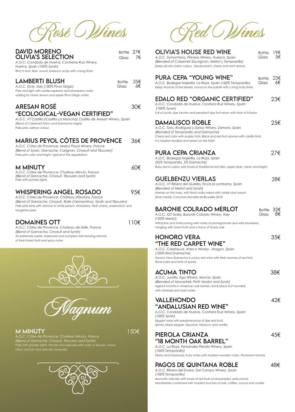**Rosé Wines**

| <b>DAVID MORENO</b><br><b>OLIVIA'S SELECTION</b><br>A.O.C. Condado de Huelva, Contreras Ruiz Winery,<br>Huelva, Spain (100% Syrah)<br>Rich in fruit, flesh, round, balance acidy with a long finish. | Bottle $27 \epsilon$<br>Glass | 7€ |
|------------------------------------------------------------------------------------------------------------------------------------------------------------------------------------------------------|-------------------------------|----|
| LAMBERTI BLUSH<br>A.O.C. Sicily, Italy (100% Pinot Grigio)                                                                                                                                           | Bottle $256$<br>Glass         | 6€ |

*Pale and light with subtle raspberry and strawberry notes adding to classic lemon and apple Pinot Grigio notes.*

#### ARESAN ROSÉ30€ "ECOLOGICAL-VEGAN CERTIFIED"

*A.O.C. VT Castilla (Castilla La Mancha) Castillo de Aresan Winery, Spain (Blend of Cabernet Franc and Garnacha negra) Pale pink, salmon colour.* 

### MARIUS PEYOL CÔTES DE PROVENCE36€*A.O.C. Côtes de Provence, Marius Peyol Winery ,France*

*(Blend of Syrah, Grenache, Carignan, Cinsault and Tibouren) Pale pink color and bright, typical of this appellation.* 

| <b>M MINUTY</b>                                   | 60€ |
|---------------------------------------------------|-----|
| A.O.C. Côtes de Provence, Chateau Minuty, France  |     |
| Oland of Crongoba, Cinequilt, Thouran and Curable |     |

*(Blend of Grenache, Cinsault, Tibouren and Syrah) Pale with pomelo lights.* 

### WHISPERING ANGEL ROSADO95€

*A.O.C. Côtes de Provence, Château d'Esclans, France (Blend of Grenache, Cinsault, Rolle (Vermentino), Syrah and Tibouren) Pale pink wine with aromas of white peach, strawberry, fresh cherry, passionfruit, and tangerine peel.* 

### DOMAINES OTT110€

*A.O.C. Côtes de Provence, Chateau de Selle, France (Blend of Garnacha, Cinsault and Syrah) An extremely subtle, balanced and complex rosé showing aromas of fresh forest fruits and spicy notes.*



M MINUTY150€ *A.O.C. Côtes de Provence, Chateau Minuty, France (Blend of Grenache, Cinsault, Tibouren and Syrah) Pale with pomelo lights. Precise and delicate with notes of flowers, melon, citrus, red fruit and delicate minerality.*



**Red Wines**

| <b>OLIVIA'S HOUSE RED WINE</b><br>A.O.C. Somontano, Pirineos Winery, Huesca, Spain<br>(Blended of Cabernet-Sauvignon, Merlot y Tempranillo)<br>Deep picota cherry colour, blackcurrant, cherry and mint aroma.                                                 | Bottle<br>Glass | 19€<br>5€ |
|----------------------------------------------------------------------------------------------------------------------------------------------------------------------------------------------------------------------------------------------------------------|-----------------|-----------|
| <b>PURA CEPA "YOUNG WINE"</b><br>A.O.C. Bodegas Najerilla, La Rioja, Spain (100% Tempranillo)<br>Deep Aromas of red berries, round on the palate with a long fruity finish.                                                                                    | Bottle<br>Glass | 23€<br>6€ |
| <b>EDALO RED "ORGANIC CERTIFIED"</b><br>A.O.C. Condado de Huelva, Contrera Ruiz Winery, Spain<br>(100% Syrah)<br>Full of youth, ripe tannins and persistent ripe fruit return with hints of infusion                                                           |                 | 23€       |
| <b>DAMALISCO ROBLE</b><br>A.O.C. Toro, Rodríguez y Sanzo Winery, Zamora, Spain<br>(Blended of Tempranillo and Garnache)<br>Cherry red color with purple hints. Black and red fruit aromas with vanilla hints.<br>It is medium bodied and sweet on the finish.  |                 | 25€       |
| PURA CEPA CRIANZA<br>A.O.C. Bodegas Najerilla, La Rioja, Spain<br>(95% Tempranillo, 5% Garnache)<br>Ruby red in colour with tones of traditional roof-tiles, upper layer, clean and bright.                                                                    |                 | 27€       |
| <b>GUELBENZU VIERLAS</b><br>A.O.C. VT Ribera del Queiles, Finca la Lombana, Spain<br>(Blended of Merlot and Syrah)<br>Intense on the nose, with floral notes mixed with cedar and cream.<br>Silver medal, Concours Mondial de Bruxelles 2018                   |                 | 28€       |
| <b>BARONIE COLRADO MERLOT</b><br>A.O.C. IGT Sicilia, Baronie Colrado Winery, Italy<br>(100% Merlot)<br>Attractive and forthcoming with notes of pomegranate and wild strawberry                                                                                | Bottle<br>Glass |           |
| mingling with forest fruits and a trace of toasty oak<br><b>HONORO VERA</b><br>"THE RED CARPET WINE"<br>A.O.C. Calatayud, Atteca Winery, Aragon, Spain<br>(100% Red Garnache)<br>Honoro Vera Garnacha is a juicy red wine with fresh aromas of red fruit,      |                 | 35€       |
| floral notes and hints of spices.<br><b>ACUMA TINTO</b><br>A.O.C. Jumilla, Ego Winery, Murcia, Spain<br>(Blended of Monastrell, Petit Verdot and Syrah)<br>Aged 4 months in American oak barrels, red & black fruit rounded<br>with minerals and toast notes.  |                 | 38€       |
| <b>VALLEHONDO</b><br>"ANDALUSIAN RED WINE"<br>A.O.C. Condado de Huelva, Contrera Ruiz Winery, Spain<br>(100% Syrah)<br>Elegant wine with predominance of tipe red fruits.                                                                                      |                 | 42€       |
| Spices, black pepper, liquorice, tobacco and vanilla.<br>PIEROLA CRIANZA<br>"18 MONTH OAK BARREL"<br>A.O.C. La Rioja, Fernández Pierola Winery, Spain<br>(100% Tempranillo)<br>Fleshy and balanced, fruity notes with toasted wooden notes. Prominent tannins. |                 | 45€       |
| DACOS DE OLIINITANIA DORLE                                                                                                                                                                                                                                     |                 | ء ہ       |

### **PAGOS DE QUINTANA ROBLE** 48€

*A.O.C. Ribera del Duero, Del Campo Winery, Spain (100% Tempranillo) Aromatic intensity with tones of red fruits of strawberries, redcurrants, blackberries combined with toasted touches of oak, coffee, cocoa and vanilla.*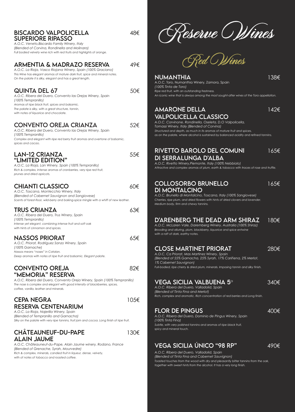| <b>BISCARDO VALPOLICELLA</b><br><b>SUPERIORE RIPASSO</b><br>A.O.C. Veneto, Biscardo Family Winery, Italy<br>(Blended of Corvina, Rondinella and Molinara)<br>Full bodied velvety wine rich with red fruits and highlights of orange.               | 48€  | <u>feserve (Selimes</u>                                                                                                                                                                                                                           |       |
|----------------------------------------------------------------------------------------------------------------------------------------------------------------------------------------------------------------------------------------------------|------|---------------------------------------------------------------------------------------------------------------------------------------------------------------------------------------------------------------------------------------------------|-------|
| <b>ARMENTIA &amp; MADRAZO RESERVA</b><br>A.O.C. La Rioja, Vasco Riojana Winery, Spain (100% Graciano)<br>This Wine has elegant aromas of mature dark fruit, spice and mineral notes.<br>On the palate it is silky, elegant and has a great length. | 49€  | <u> Ped CWines</u><br><b>NUMANTHIA</b>                                                                                                                                                                                                            | 138€  |
| <b>QUINTA DEL 67</b><br>A.O.C. Ribera del Duero, Convento las Orejas Winery, Spain<br>(100% Tempranillo)<br>Aromas of ripe black fruit, spices and balsamic.                                                                                       | 50€  | A.O.C. Toro, Numanthia Winery, Zamora, Spain<br>(100% Tinta de Toro)<br>Ripe red fruit, with an outstanding freshness.<br>An iconic wine that is always among the most sought-after wines of the Toro appellation.                                |       |
| The palate is silky, with a great structure, tannin,<br>with notes of liquorice and chocolate.<br><b>CONVENTO OREJA CRIANZA</b>                                                                                                                    | 52€  | <b>AMARONE DELLA</b><br><b>VALPOLICELLA CLASSICO</b><br>A.O.C. Corvinone, Rondinella, Oseleta, D.O Valpolicella,                                                                                                                                  | 142€  |
| A.O.C. Ribera del Duero, Convento las Orejas Winery, Spain<br>(100% Tempranillo)<br>Complex and elegant with ripe red berry fruit aromas and overtone of balsamic,<br>spices and cacao.                                                            |      | Tomassi Winery, Italy (Blended of Corvina)<br>Structured and depth, as much in its aromas of mature fruit and spices,<br>as on the palate, where alcohol is sustained by balanced acidity and refined tannins.                                    |       |
| <b>LAN-12 CRIANZA</b><br>"LIMITED EDITION"<br>A.O.C. La Rioja, Lan Winery, Spain (100% Tempranillo)<br>Rich & complex, Intense aromas of cranberries, very ripe red fruit,<br>prunes and dried apricots.                                           | 55€  | <b>RIVETTO BAROLO DEL COMUNI</b><br>DI SERRALUNGA D'ALBA<br>A.O.C. Rivetto Winery, Piemonte, Italy (100% Nebbiolo)<br>Attractive and complex aromas of plum, earth & tobacco with traces of rose and truffle.                                     | 165€  |
| <b>CHIANTI CLASSICO</b><br>A.O.C. Toscana, Montecchio Winery, Italy<br>(Blended of Cabernet Sauvignon and Sangiovese)<br>Scents of forest-floor, wild-berry and baking-spice mingle with a whiff of new leather.                                   | 60€  | <b>COLLOSORBO BRUNELLO</b><br><b>DI MONTALCINO</b><br>A.O.C. Brunello di Montalcino, Toscana, Italy (100% Sangiovese)<br>Cherries, ripe plum, and dried flowers with hints of dried clovers and lavender.<br>Medium body, firm and chewy tannins. | 165€  |
| <b>TRUS CRIANZA</b><br>A.O.C. Ribera del Duero, Trus Winery, Spain<br>(100% Tempranillo)<br>Intense yet elegant, combining intense fruit and soft oak<br>with hints of cinnamon and spices.                                                        | 63€  | D'ARENBERG THE DEAD ARM SHIRAZ<br>A.O.C. McLaren Vale, Daremberg Winery, Australia (100% Shiraz)<br>Brooding and alluring, plum, blackberry, liquorice and spice entwine                                                                          | 180€  |
| <b>NASSOS PRIORAT</b><br>A.O.C. Priorat, Rodríguez Sanzo Winery, Spain<br>(100% Garnache)                                                                                                                                                          | 65€  | with a raft of dark, earthy notes.<br><b>CLOSE MARTINET PRIORAT</b>                                                                                                                                                                               | 280€  |
| Nassos means "noses" in Catalan.<br>Deep aromas with notes of ripe fruit and balsamic. Elegant palate.<br><b>CONVENTO OREJA</b>                                                                                                                    | 82€  | A.O.C. Ca Priorat, Mas Martinez Winery, Spain<br>(Blended of 55% Garnacha, 25% Syrah, 17% Cariñena, 2% Merlot,<br>1% Cabernet Sauvignon)<br>Full-bodied, ripe cherry & dried plum, minerals. Imposing tannin and silky finish.                    |       |
| "MEMORIA" RESERVA<br>A.O.C. Ribera del Duero, Convento Oreja Winery, Spain (100% Tempranillo)<br>The nose is complex and elegant with good intensity of blackberries, spices,                                                                      |      | VEGA SICILIA VALBUENA 5 $^{\rm o}$                                                                                                                                                                                                                | 340€  |
| coffee, vanilla, leather and minerals.<br><b>CEPA NEGRA</b>                                                                                                                                                                                        | 105€ | A.O.C. Ribera del Duero, Valladolid, Spain<br>(Blended of Tinta Fina and Merlot)<br>Rich, complex and aromatic. Rich concentration of red berries and Long finish.                                                                                |       |
| <b>RESERVA CENTENARIUM</b><br>A.O.C. La Rioja, Najerilla Winery, Spain<br>(Blended of Tempranillo and Garnacha)<br>Silky on the palate with very ripe tannins, fruit jam and cocoa. Long finish of ripe fruit.                                     |      | <b>FLOR DE PINGUS</b><br>A.O.C. Ribera del Duero, Dominio de Pingus Winery, Spain<br>(100% Tinta Fina)<br>Subtle, with very polished tannins and aromas of ripe black fruit,                                                                      | 400€  |
| <b>CHÂTEAUNEUF-DU-PAPE</b><br><b>ALAIN JAUME</b>                                                                                                                                                                                                   | 130€ | spicy and mineral touch.                                                                                                                                                                                                                          |       |
| A.O.C. Châteauneuf-du-Pape, Alain Jaume winery, Rodano, France<br>(Blended of Grenache, Syrah, Mourvedre)<br>Rich & complex, minerals, candied fruit in liqueur, dense, velvety,<br>with of notes of tobacco and roasted coffee.                   |      | <b>VEGA SICILIA ÚNICO "98 RP"</b><br>A.O.C. Ribera del Duero, Valladolid, Spain<br>(Blended of Tinta Fina and Cabernet Sauvignon)<br>Togsted touches from the wood with dry and pleasantly bitter tannins from the oak                            | ∣490€ |

 $\curvearrowright$ re O*Wines* 

#### NUMANTHIA138€ nora, Spain *Ripe red fruit, with an outstanding freshness.*

#### AMARONE DELLA142€ SSICO

| RIVETTO BAROLO DEL COMUNI                             | 165€ |
|-------------------------------------------------------|------|
| DI SERRALUNGA D'ALBA                                  |      |
| A.O.C. Rivetto Winery,Piemonte, Italy (100% Nebbiolo) |      |

## COLLOSORBO BRUNELLO165€

#### **EAD ARM SHIRAZ** 180€ *A.O.C. McLaren Vale, Daremberg Winery, Australia (100% Shiraz)*

| <b>CLOSE MARTINET PRIORAT</b> | 280€ |
|-------------------------------|------|
|                               |      |

### $JENA$  5 $^{\circ}$   $340\epsilon$

### **O "98 RP"** 490€

*A.O.C. Ribera del Duero, Valladolid, Spain (Blended of Tinta Fina and Cabernet Sauvignon) Toasted touches from the wood with dry and pleasantly bitter tannins from the oak, together with sweet hints from the alcohol. It has a very long finish.*